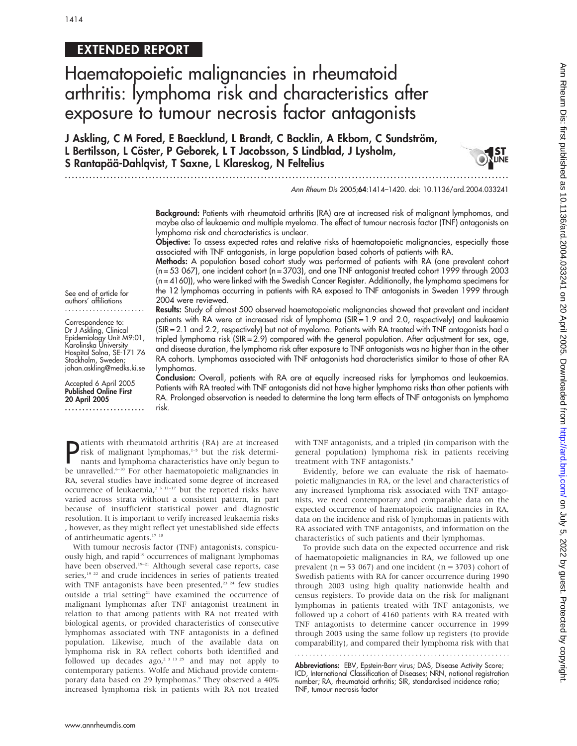# EXTENDED REPORT

...............................................................................................................................

Haematopoietic malignancies in rheumatoid arthritis: lymphoma risk and characteristics after exposure to tumour necrosis factor antagonists

J Askling, C M Fored, E Baecklund, L Brandt, C Backlin, A Ekbom, C Sundström, L Bertilsson, L Cöster, P Geborek, L T Jacobsson, S Lindblad, J Lysholm, S Rantapää-Dahlqvist, T Saxne, L Klareskog, N Feltelius

**LINE** 

Ann Rheum Dis 2005;64:1414–1420. doi: 10.1136/ard.2004.033241

Background: Patients with rheumatoid arthritis (RA) are at increased risk of malignant lymphomas, and maybe also of leukaemia and multiple myeloma. The effect of tumour necrosis factor (TNF) antagonists on lymphoma risk and characteristics is unclear.

Objective: To assess expected rates and relative risks of haematopoietic malignancies, especially those associated with TNF antagonists, in large population based cohorts of patients with RA.

Methods: A population based cohort study was performed of patients with RA (one prevalent cohort (n = 53 067), one incident cohort (n = 3703), and one TNF antagonist treated cohort 1999 through 2003 (n = 4160)), who were linked with the Swedish Cancer Register. Additionally, the lymphoma specimens for the 12 lymphomas occurring in patients with RA exposed to TNF antagonists in Sweden 1999 through 2004 were reviewed.

Results: Study of almost 500 observed haematopoietic malignancies showed that prevalent and incident patients with RA were at increased risk of lymphoma (SIR = 1.9 and 2.0, respectively) and leukaemia

See end of article for authors' affiliations .......................

Correspondence to: Dr J Askling, Clinical Epidemiology Unit M9:01, Karolinska University Hospital Solna, SE-171 76 Stockholm, Sweden; johan.askling@medks.ki.se

Accepted 6 April 2005 Published Online First 20 April 2005 ....................... (SIR = 2.1 and 2.2, respectively) but not of myeloma. Patients with RA treated with TNF antagonists had a tripled lymphoma risk (SIR = 2.9) compared with the general population. After adjustment for sex, age, and disease duration, the lymphoma risk after exposure to TNF antagonists was no higher than in the other RA cohorts. Lymphomas associated with TNF antagonists had characteristics similar to those of other RA lymphomas. Conclusion: Overall, patients with RA are at equally increased risks for lymphomas and leukaemias.

Patients with RA treated with TNF antagonists did not have higher lymphoma risks than other patients with RA. Prolonged observation is needed to determine the long term effects of TNF antagonists on lymphoma risk.

**P** atients with rheumatoid arthritis (RA) are at increased<br>risk of malignant lymphomas,<sup>1-5</sup> but the risk determi-<br>nants and lymphoma characteristics have only begun to<br>be unravalled  $^{6-10}$ . For other hagmateriatic mal risk of malignant lymphomas,<sup>1-5</sup> but the risk determinants and lymphoma characteristics have only begun to be unravelled.<sup>6-10</sup> For other haematopoietic malignancies in RA, several studies have indicated some degree of increased occurrence of leukaemia,<sup>2 3 11–17</sup> but the reported risks have varied across strata without a consistent pattern, in part because of insufficient statistical power and diagnostic resolution. It is important to verify increased leukaemia risks , however, as they might reflect yet unestablished side effects of antirheumatic agents.<sup>17</sup> <sup>18</sup>

With tumour necrosis factor (TNF) antagonists, conspicuously high, and rapid<sup>19</sup> occurrences of malignant lymphomas have been observed.<sup>19-21</sup> Although several case reports, case series,<sup>19 22</sup> and crude incidences in series of patients treated with TNF antagonists have been presented,<sup>23</sup> <sup>24</sup> few studies outside a trial setting<sup>21</sup> have examined the occurrence of malignant lymphomas after TNF antagonist treatment in relation to that among patients with RA not treated with biological agents, or provided characteristics of consecutive lymphomas associated with TNF antagonists in a defined population. Likewise, much of the available data on lymphoma risk in RA reflect cohorts both identified and followed up decades ago,<sup>2 3 13 25</sup> and may not apply to contemporary patients. Wolfe and Michaud provide contemporary data based on 29 lymphomas.<sup>9</sup> They observed a 40% increased lymphoma risk in patients with RA not treated with TNF antagonists, and a tripled (in comparison with the general population) lymphoma risk in patients receiving treatment with TNF antagonists.9

Evidently, before we can evaluate the risk of haematopoietic malignancies in RA, or the level and characteristics of any increased lymphoma risk associated with TNF antagonists, we need contemporary and comparable data on the expected occurrence of haematopoietic malignancies in RA, data on the incidence and risk of lymphomas in patients with RA associated with TNF antagonists, and information on the characteristics of such patients and their lymphomas.

To provide such data on the expected occurrence and risk of haematopoietic malignancies in RA, we followed up one prevalent ( $n = 53,067$ ) and one incident ( $n = 3703$ ) cohort of Swedish patients with RA for cancer occurrence during 1990 through 2003 using high quality nationwide health and census registers. To provide data on the risk for malignant lymphomas in patients treated with TNF antagonists, we followed up a cohort of 4160 patients with RA treated with TNF antagonists to determine cancer occurrence in 1999 through 2003 using the same follow up registers (to provide comparability), and compared their lymphoma risk with that

Abbreviations: EBV, Epstein-Barr virus; DAS, Disease Activity Score; ICD, International Classification of Diseases; NRN, national registration number; RA, rheumatoid arthritis; SIR, standardised incidence ratio; TNF, tumour necrosis factor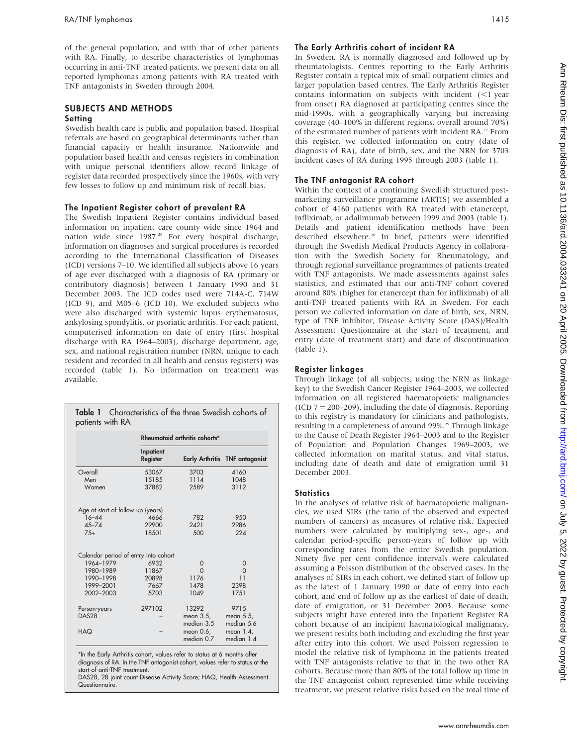of the general population, and with that of other patients with RA. Finally, to describe characteristics of lymphomas occurring in anti-TNF treated patients, we present data on all reported lymphomas among patients with RA treated with TNF antagonists in Sweden through 2004.

#### SUBJECTS AND METHODS **Setting**

Swedish health care is public and population based. Hospital referrals are based on geographical determinants rather than financial capacity or health insurance. Nationwide and population based health and census registers in combination with unique personal identifiers allow record linkage of register data recorded prospectively since the 1960s, with very few losses to follow up and minimum risk of recall bias.

#### The Inpatient Register cohort of prevalent RA

The Swedish Inpatient Register contains individual based information on inpatient care county wide since 1964 and nation wide since 1987.<sup>26</sup> For every hospital discharge, information on diagnoses and surgical procedures is recorded according to the International Classification of Diseases (ICD) versions 7–10. We identified all subjects above 16 years of age ever discharged with a diagnosis of RA (primary or contributory diagnosis) between 1 January 1990 and 31 December 2003. The ICD codes used were 714A-C, 714W (ICD 9), and M05–6 (ICD 10). We excluded subjects who were also discharged with systemic lupus erythematosus, ankylosing spondylitis, or psoriatic arthritis. For each patient, computerised information on date of entry (first hospital discharge with RA 1964–2003), discharge department, age, sex, and national registration number (NRN, unique to each resident and recorded in all health and census registers) was recorded (table 1). No information on treatment was available.

|                                      | Rheumatoid arthritis cohorts* |              |                                       |  |  |  |  |
|--------------------------------------|-------------------------------|--------------|---------------------------------------|--|--|--|--|
|                                      | Inpatient<br>Register         |              | <b>Early Arthritis TNF antagonist</b> |  |  |  |  |
| Overall                              | 53067                         | 3703         | 4160                                  |  |  |  |  |
| Men                                  | 15185                         | 1114         | 1048                                  |  |  |  |  |
| Women                                | 37882                         | 2589         | 3112                                  |  |  |  |  |
| Age at start of follow up (years)    |                               |              |                                       |  |  |  |  |
| $16 - 44$                            | 4666                          | 782          | 950                                   |  |  |  |  |
| $45 - 74$                            | 29900                         | 2421         | 2986                                  |  |  |  |  |
| $7.5+$                               | 18501                         | 500          | 224                                   |  |  |  |  |
| Calendar period of entry into cohort |                               |              |                                       |  |  |  |  |
| 1964-1979                            | 6932                          | 0            | $\Omega$                              |  |  |  |  |
| 1980-1989                            | 11867                         | $\Omega$     | $\Omega$                              |  |  |  |  |
| 1990-1998                            | 20898                         | 1176         | 11                                    |  |  |  |  |
| 1999-2001                            | 7667                          | 1478         | 2398                                  |  |  |  |  |
| 2002-2003                            | 5703                          | 1049         | 1751                                  |  |  |  |  |
| Person-years                         | 297102                        | 13292        | 9715                                  |  |  |  |  |
| DAS28                                |                               | mean 3.5,    | mean 5.5,                             |  |  |  |  |
|                                      |                               | median $3.5$ | median 5.6                            |  |  |  |  |
| <b>HAQ</b>                           |                               | mean 0.6,    | mean $1.4$ ,                          |  |  |  |  |
|                                      |                               | median $0.7$ | median $1\,4$                         |  |  |  |  |

\*In the Early Arthritis cohort, values refer to status at 6 months after diagnosis of RA. In the TNF antagonist cohort, values refer to status at the start of anti-TNF treatment.

DAS28, 28 joint count Disease Activity Score; HAQ, Health Assessment Questionnaire.

#### The Early Arthritis cohort of incident RA

In Sweden, RA is normally diagnosed and followed up by rheumatologists. Centres reporting to the Early Arthritis Register contain a typical mix of small outpatient clinics and larger population based centres. The Early Arthritis Register contains information on subjects with incident  $\langle$ <1 year from onset) RA diagnosed at participating centres since the mid-1990s, with a geographically varying but increasing coverage (40–100% in different regions, overall around 70%) of the estimated number of patients with incident RA.<sup>27</sup> From this register, we collected information on entry (date of diagnosis of RA), date of birth, sex, and the NRN for 3703 incident cases of RA during 1995 through 2003 (table 1).

#### The TNF antagonist RA cohort

Within the context of a continuing Swedish structured postmarketing surveillance programme (ARTIS) we assembled a cohort of 4160 patients with RA treated with etanercept, infliximab, or adalimumab between 1999 and 2003 (table 1). Details and patient identification methods have been described elsewhere.<sup>28</sup> In brief, patients were identified through the Swedish Medical Products Agency in collaboration with the Swedish Society for Rheumatology, and through regional surveillance programmes of patients treated with TNF antagonists. We made assessments against sales statistics, and estimated that our anti-TNF cohort covered around 80% (higher for etanercept than for infliximab) of all anti-TNF treated patients with RA in Sweden. For each person we collected information on date of birth, sex, NRN, type of TNF inhibitor, Disease Activity Score (DAS)/Health Assessment Questionnaire at the start of treatment, and entry (date of treatment start) and date of discontinuation (table 1).

#### Register linkages

Through linkage (of all subjects, using the NRN as linkage key) to the Swedish Cancer Register 1964–2003, we collected information on all registered haematopoietic malignancies  $(ICD 7 = 200-209)$ , including the date of diagnosis. Reporting to this registry is mandatory for clinicians and pathologists, resulting in a completeness of around 99%.<sup>29</sup> Through linkage to the Cause of Death Register 1964–2003 and to the Register of Population and Population Changes 1969–2003, we collected information on marital status, and vital status, including date of death and date of emigration until 31 December 2003.

## **Statistics**

In the analyses of relative risk of haematopoietic malignancies, we used SIRs (the ratio of the observed and expected numbers of cancers) as measures of relative risk. Expected numbers were calculated by multiplying sex-, age-, and calendar period-specific person-years of follow up with corresponding rates from the entire Swedish population. Ninety five per cent confidence intervals were calculated assuming a Poisson distribution of the observed cases. In the analyses of SIRs in each cohort, we defined start of follow up as the latest of 1 January 1990 or date of entry into each cohort, and end of follow up as the earliest of date of death, date of emigration, or 31 December 2003. Because some subjects might have entered into the Inpatient Register RA cohort because of an incipient haematological malignancy, we present results both including and excluding the first year after entry into this cohort. We used Poisson regression to model the relative risk of lymphoma in the patients treated with TNF antagonists relative to that in the two other RA cohorts. Because more than 80% of the total follow up time in the TNF antagonist cohort represented time while receiving treatment, we present relative risks based on the total time of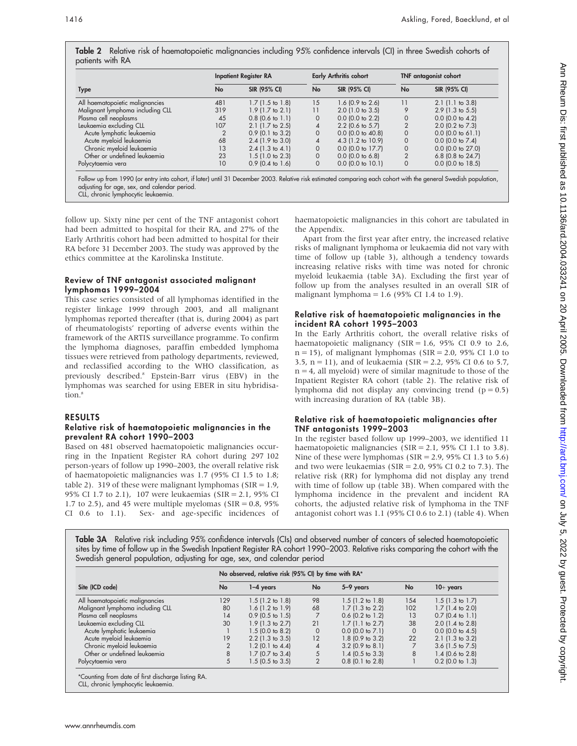Table 2 Relative risk of haematopoietic malignancies including 95% confidence intervals (CI) in three Swedish cohorts of patients with RA

|                                  | <b>Inpatient Register RA</b> |                            | <b>Early Arthritis cohort</b> |                     | <b>TNF</b> antagonist cohort |                       |
|----------------------------------|------------------------------|----------------------------|-------------------------------|---------------------|------------------------------|-----------------------|
| Type                             | No                           | <b>SIR (95% CI)</b>        | No                            | <b>SIR (95% CI)</b> | <b>No</b>                    | <b>SIR (95% CI)</b>   |
| All haematopoietic malignancies  | 481                          | $1.7(1.5 \text{ to } 1.8)$ | 15                            | $1.6$ (0.9 to 2.6)  | 11                           | $2.1$ (1.1 to 3.8)    |
| Malignant lymphoma including CLL | 319                          | $1.9(1.7 \text{ to } 2.1)$ | 11                            | $2.0$ (1.0 to 3.5)  | 9                            | $2.9$ (1.3 to 5.5)    |
| Plasma cell neoplasms            | 45                           | $0.8$ (0.6 to 1.1)         | 0                             | $0.0$ (0.0 to 2.2)  | 0                            | $0.0$ (0.0 to 4.2)    |
| Leukaemia excluding CLL          | 107                          | $2.1$ (1.7 to 2.5)         | 4                             | $2.2$ (0.6 to 5.7)  | $\mathcal{P}$                | $2.0$ (0.2 to $7.3$ ) |
| Acute lymphatic leukaemia        | 2                            | $0.9$ (0.1 to 3.2)         | $\Omega$                      | $0.0$ (0.0 to 40.8) | 0                            | $0.0$ (0.0 to 61.1)   |
| Acute myeloid leukaemia          | 68                           | $2.4$ (1.9 to 3.0)         | 4                             | 4.3 (1.2 to 10.9)   | $\mathbf 0$                  | $0.0$ (0.0 to 7.4)    |
| Chronic myeloid leukaemia        | 13                           | $2.4$ (1.3 to 4.1)         | $\Omega$                      | $0.0$ (0.0 to 17.7) | $\mathbf 0$                  | $0.0$ (0.0 to 27.0)   |
| Other or undefined leukaemia     | 23                           | $1.5(1.0 \text{ to } 2.3)$ | 0                             | $0.0$ (0.0 to 6.8)  | $\overline{2}$               | 6.8 (0.8 to 24.7)     |
| Polycytaemia vera                | 10                           | $0.9$ (0.4 to 1.6)         | $\Omega$                      | $0.0$ (0.0 to 10.1) | 0                            | $0.0$ (0.0 to 18.5)   |

Follow up from 1990 (or entry into cohort, if later) until 31 December 2003. Relative risk estimated comparing each cohort with the general Swedish population, adjusting for age, sex, and calendar period.

CLL, chronic lymphocytic leukaemia.

follow up. Sixty nine per cent of the TNF antagonist cohort had been admitted to hospital for their RA, and 27% of the Early Arthritis cohort had been admitted to hospital for their RA before 31 December 2003. The study was approved by the ethics committee at the Karolinska Institute.

#### Review of TNF antagonist associated malignant lymphomas 1999–2004

This case series consisted of all lymphomas identified in the register linkage 1999 through 2003, and all malignant lymphomas reported thereafter (that is, during 2004) as part of rheumatologists' reporting of adverse events within the framework of the ARTIS surveillance programme. To confirm the lymphoma diagnoses, paraffin embedded lymphoma tissues were retrieved from pathology departments, reviewed, and reclassified according to the WHO classification, as previously described.8 Epstein-Barr virus (EBV) in the lymphomas was searched for using EBER in situ hybridisation.<sup>8</sup>

#### RESULTS

#### Relative risk of haematopoietic malignancies in the prevalent RA cohort 1990–2003

Based on 481 observed haematopoietic malignancies occurring in the Inpatient Register RA cohort during 297 102 person-years of follow up 1990–2003, the overall relative risk of haematopoietic malignancies was 1.7 (95% CI 1.5 to 1.8; table 2). 319 of these were malignant lymphomas ( $SIR = 1.9$ , 95% CI 1.7 to 2.1), 107 were leukaemias (SIR = 2.1, 95% CI 1.7 to 2.5), and 45 were multiple myelomas ( $SIR = 0.8$ , 95%) CI 0.6 to 1.1). Sex- and age-specific incidences of haematopoietic malignancies in this cohort are tabulated in the Appendix.

Apart from the first year after entry, the increased relative risks of malignant lymphoma or leukaemia did not vary with time of follow up (table 3), although a tendency towards increasing relative risks with time was noted for chronic myeloid leukaemia (table 3A). Excluding the first year of follow up from the analyses resulted in an overall SIR of malignant lymphoma =  $1.6$  (95% CI 1.4 to 1.9).

#### Relative risk of haematopoietic malignancies in the incident RA cohort 1995–2003

In the Early Arthritis cohort, the overall relative risks of haematopoietic malignancy ( $SIR = 1.6$ , 95% CI 0.9 to 2.6,  $n = 15$ ), of malignant lymphomas (SIR = 2.0, 95% CI 1.0 to 3.5,  $n = 11$ ), and of leukaemia (SIR = 2.2, 95% CI 0.6 to 5.7,  $n = 4$ , all myeloid) were of similar magnitude to those of the Inpatient Register RA cohort (table 2). The relative risk of lymphoma did not display any convincing trend  $(p = 0.5)$ with increasing duration of RA (table 3B).

#### Relative risk of haematopoietic malignancies after TNF antagonists 1999–2003

In the register based follow up 1999–2003, we identified 11 haematopoietic malignancies (SIR = 2.1, 95% CI 1.1 to 3.8). Nine of these were lymphomas ( $SIR = 2.9$ , 95% CI 1.3 to 5.6) and two were leukaemias ( $SIR = 2.0$ , 95% CI 0.2 to 7.3). The relative risk (RR) for lymphoma did not display any trend with time of follow up (table 3B). When compared with the lymphoma incidence in the prevalent and incident RA cohorts, the adjusted relative risk of lymphoma in the TNF antagonist cohort was 1.1 (95% CI 0.6 to 2.1) (table 4). When

Table 3A Relative risk including 95% confidence intervals (CIs) and observed number of cancers of selected haematopoietic sites by time of follow up in the Swedish Inpatient Register RA cohort 1990–2003. Relative risks comparing the cohort with the Swedish general population, adjusting for age, sex, and calendar period

|                                  | No observed, relative risk (95% CI) by time with RA* |                            |           |                       |              |                            |  |
|----------------------------------|------------------------------------------------------|----------------------------|-----------|-----------------------|--------------|----------------------------|--|
| Site (ICD code)                  | <b>No</b>                                            | $1-4$ years                | <b>No</b> | 5-9 years             | <b>No</b>    | $10+$ years                |  |
| All haematopoietic malignancies  | 129                                                  | $1.5(1.2 \text{ to } 1.8)$ | 98        | $1.5$ (1.2 to 1.8)    | 154          | $1.5(1.3 \text{ to } 1.7)$ |  |
| Malignant lymphoma including CLL | 80                                                   | $1.6$ (1.2 to 1.9)         | 68        | $1.7$ (1.3 to 2.2)    | 102          | $1.7$ (1.4 to 2.0)         |  |
| Plasma cell neoplasms            | 14                                                   | $0.9$ (0.5 to 1.5)         |           | $0.6$ (0.2 to 1.2)    | 13           | $0.7$ (0.4 to 1.1)         |  |
| Leukaemia excluding CLL          | 30                                                   | $1.9$ (1.3 to 2.7)         | 21        | $1.7$ (1.1 to 2.7)    | 38           | $2.0$ (1.4 to $2.8$ )      |  |
| Acute lymphatic leukaemia        |                                                      | $1.5$ (0.0 to 8.2)         | $\Omega$  | $0.0$ (0.0 to $7.1$ ) | $\mathbf{0}$ | $0.0$ (0.0 to 4.5)         |  |
| Acute myeloid leukaemia          | 19                                                   | $2.2$ (1.3 to 3.5)         | 12        | $1.8$ (0.9 to 3.2)    | 22           | $2.1$ (1.3 to 3.2)         |  |
| Chronic myeloid leukaemia        |                                                      | $1.2$ (0.1 to 4.4)         |           | $3.2$ (0.9 to 8.1)    |              | $3.6$ (1.5 to 7.5)         |  |
| Other or undefined leukaemia     | 8                                                    | $1.7$ (0.7 to 3.4)         |           | $1.4$ (0.5 to 3.3)    | 8            | $1.4$ (0.6 to 2.8)         |  |
| Polycytaemia vera                | 5                                                    | $1.5$ (0.5 to 3.5)         |           | $0.8$ (0.1 to 2.8)    |              | $0.2$ (0.0 to 1.3)         |  |

\*Counting from date of first discharge listing RA.

CLL, chronic lymphocytic leukaemia.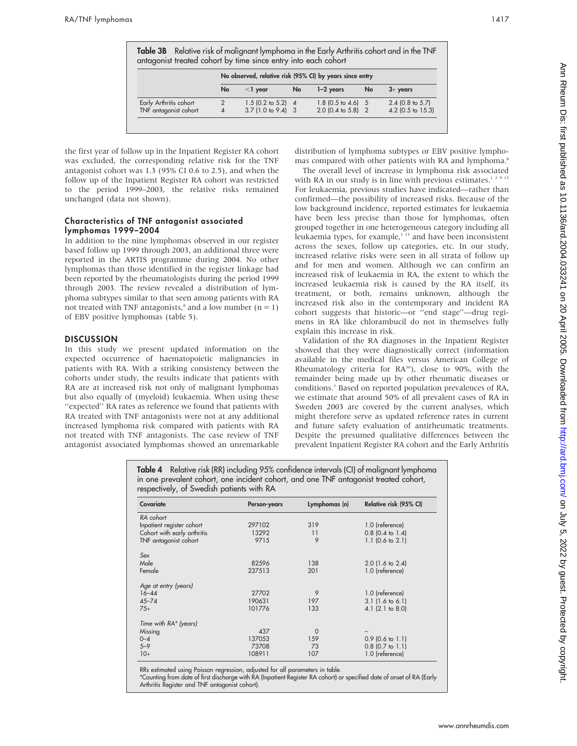|                        |               | No observed, relative risk (95% CI) by years since entry |    |                               |           |                    |  |  |
|------------------------|---------------|----------------------------------------------------------|----|-------------------------------|-----------|--------------------|--|--|
|                        | No            | $<$ ] year                                               | No | $1-2$ years                   | <b>No</b> | $3+$ years         |  |  |
| Early Arthritis cohort | $\mathcal{P}$ | $1.5(0.2 \text{ to } 5.2)$ 4                             |    | 1.8 $(0.5 \text{ to } 4.6)$ 5 |           | $2.4$ (0.8 to 5.7) |  |  |
| TNF antagonist cohort  |               | $3.7(1.0 \text{ to } 9.4)$ 3                             |    | 2.0 (0.4 to 5.8) 2            |           | 4.2 (0.5 to 15.3)  |  |  |

the first year of follow up in the Inpatient Register RA cohort was excluded, the corresponding relative risk for the TNF antagonist cohort was 1.3 (95% CI 0.6 to 2.5), and when the follow up of the Inpatient Register RA cohort was restricted to the period 1999–2003, the relative risks remained unchanged (data not shown).

#### Characteristics of TNF antagonist associated lymphomas 1999–2004

In addition to the nine lymphomas observed in our register based follow up 1999 through 2003, an additional three were reported in the ARTIS programme during 2004. No other lymphomas than those identified in the register linkage had been reported by the rheumatologists during the period 1999 through 2003. The review revealed a distribution of lymphoma subtypes similar to that seen among patients with RA not treated with TNF antagonists,<sup>8</sup> and a low number (n = 1) of EBV positive lymphomas (table 5).

#### **DISCUSSION**

In this study we present updated information on the expected occurrence of haematopoietic malignancies in patients with RA. With a striking consistency between the cohorts under study, the results indicate that patients with RA are at increased risk not only of malignant lymphomas but also equally of (myeloid) leukaemia. When using these "expected" RA rates as reference we found that patients with RA treated with TNF antagonists were not at any additional increased lymphoma risk compared with patients with RA not treated with TNF antagonists. The case review of TNF antagonist associated lymphomas showed an unremarkable distribution of lymphoma subtypes or EBV positive lymphomas compared with other patients with RA and lymphoma.<sup>8</sup>

The overall level of increase in lymphoma risk associated with RA in our study is in line with previous estimates.<sup>12913</sup> For leukaemia, previous studies have indicated—rather than confirmed—the possibility of increased risks. Because of the low background incidence, reported estimates for leukaemia have been less precise than those for lymphomas, often grouped together in one heterogeneous category including all leukaemia types, for example,<sup>3 13</sup> and have been inconsistent across the sexes, follow up categories, etc. In our study, increased relative risks were seen in all strata of follow up and for men and women. Although we can confirm an increased risk of leukaemia in RA, the extent to which the increased leukaemia risk is caused by the RA itself, its treatment, or both, remains unknown, although the increased risk also in the contemporary and incident RA cohort suggests that historic—or ''end stage''—drug regimens in RA like chlorambucil do not in themselves fully explain this increase in risk.

Validation of the RA diagnoses in the Inpatient Register showed that they were diagnostically correct (information available in the medical files versus American College of Rheumatology criteria for RA<sup>30</sup>), close to 90%, with the remainder being made up by other rheumatic diseases or conditions.7 Based on reported population prevalences of RA, we estimate that around 50% of all prevalent cases of RA in Sweden 2003 are covered by the current analyses, which might therefore serve as updated reference rates in current and future safety evaluation of antirheumatic treatments. Despite the presumed qualitative differences between the prevalent Inpatient Register RA cohort and the Early Arthritis

Table 4 Relative risk (RR) including 95% confidence intervals (CI) of malignant lymphoma in one prevalent cohort, one incident cohort, and one TNF antagonist treated cohort, respectively, of Swedish patients with RA

| Covariate                   | Person-years | Lymphomas (n) |                             |  |  |
|-----------------------------|--------------|---------------|-----------------------------|--|--|
| RA cohort                   |              |               |                             |  |  |
| Inpatient register cohort   | 297102       | 319           | 1.0 (reference)             |  |  |
| Cohort with early arthritis | 13292        | 11            | $0.8$ (0.4 to 1.4)          |  |  |
| TNF antagonist cohort       | 9715         | 9             | $1.1$ (0.6 to 2.1)          |  |  |
| Sex                         |              |               |                             |  |  |
| Male                        | 82596        | 138           | $2.0$ (1.6 to $2.4$ )       |  |  |
| Female                      | 237513       | 201           | 1.0 (reference)             |  |  |
| Age at entry (years)        |              |               |                             |  |  |
| $16 - 44$                   | 27702        | 9             | 1.0 (reference)             |  |  |
| $45 - 74$                   | 190631       | 197           | $3.1$ (1.6 to 6.1)          |  |  |
| $75+$                       | 101776       | 133           | 4.1 $(2.1 \text{ to } 8.0)$ |  |  |
| Time with RA* (years)       |              |               |                             |  |  |
| Missing                     | 437          | $\mathbf 0$   |                             |  |  |
| $0 - 4$                     | 137053       | 159           | $0.9$ (0.6 to 1.1)          |  |  |
| $5 - 9$                     | 73708        | 73            | $0.8$ (0.7 to 1.1)          |  |  |
| $10+$                       | 108911       | 107           | 1.0 (reference)             |  |  |

RRs estimated using Poisson regression, adjusted for all parameters in table.

\*Counting from date of first discharge with RA (Inpatient Register RA cohort) or specified date of onset of RA (Early Arthritis Register and TNF antagonist cohort).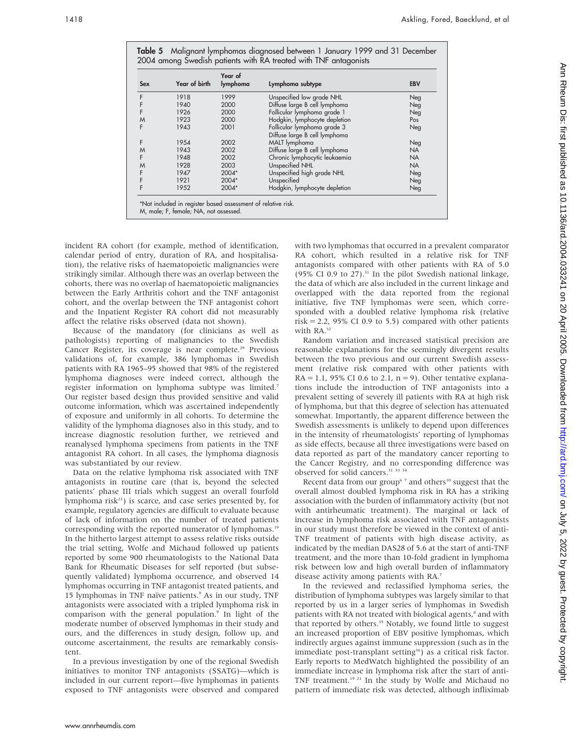| Year of birth<br><b>Sex</b> |      | Year of<br>lymphoma | Lymphoma subtype                                             | <b>EBV</b> |
|-----------------------------|------|---------------------|--------------------------------------------------------------|------------|
| F                           | 1918 | 1999                | Unspecified low grade NHL                                    | Neg        |
| F                           | 1940 | 2000                | Diffuse large B cell lymphoma                                | Neg        |
| F                           | 1926 | 2000                | Follicular lymphoma grade 1                                  | Neg        |
| M                           | 1923 | 2000                | Hodgkin, lymphocyte depletion                                | Pos        |
| F                           | 1943 | 2001                | Follicular lymphoma grade 3<br>Diffuse large B cell lymphoma | Neg        |
| F                           | 1954 | 2002                | MALT lymphoma                                                | Neg        |
| M                           | 1943 | 2002                | Diffuse large B cell lymphoma                                | NA.        |
| F                           | 1948 | 2002                | Chronic lymphocytic leukaemia                                | <b>NA</b>  |
| M                           | 1928 | 2003                | Unspecified NHL                                              | <b>NA</b>  |
| F                           | 1947 | 2004*               | Unspecified high grade NHL                                   | Neg        |
| F                           | 1921 | 2004*               | Unspecified                                                  | Neg        |
| F                           | 1952 | 2004*               | Hodgkin, lymphocyte depletion                                | Neg        |

incident RA cohort (for example, method of identification, calendar period of entry, duration of RA, and hospitalisation), the relative risks of haematopoietic malignancies were strikingly similar. Although there was an overlap between the cohorts, there was no overlap of haematopoietic malignancies between the Early Arthritis cohort and the TNF antagonist cohort, and the overlap between the TNF antagonist cohort and the Inpatient Register RA cohort did not measurably affect the relative risks observed (data not shown).

Because of the mandatory (for clinicians as well as pathologists) reporting of malignancies to the Swedish Cancer Register, its coverage is near complete.<sup>29</sup> Previous validations of, for example, 386 lymphomas in Swedish patients with RA 1965–95 showed that 98% of the registered lymphoma diagnoses were indeed correct, although the register information on lymphoma subtype was limited.7 Our register based design thus provided sensitive and valid outcome information, which was ascertained independently of exposure and uniformly in all cohorts. To determine the validity of the lymphoma diagnoses also in this study, and to increase diagnostic resolution further, we retrieved and reanalysed lymphoma specimens from patients in the TNF antagonist RA cohort. In all cases, the lymphoma diagnosis was substantiated by our review.

Data on the relative lymphoma risk associated with TNF antagonists in routine care (that is, beyond the selected patients' phase III trials which suggest an overall fourfold lymphoma  $risk^{21}$ ) is scarce, and case series presented by, for example, regulatory agencies are difficult to evaluate because of lack of information on the number of treated patients corresponding with the reported numerator of lymphomas.<sup>19</sup> In the hitherto largest attempt to assess relative risks outside the trial setting, Wolfe and Michaud followed up patients reported by some 900 rheumatologists to the National Data Bank for Rheumatic Diseases for self reported (but subsequently validated) lymphoma occurrence, and observed 14 lymphomas occurring in TNF antagonist treated patients, and 15 lymphomas in TNF naïve patients.<sup>9</sup> As in our study, TNF antagonists were associated with a tripled lymphoma risk in comparison with the general population.<sup>9</sup> In light of the moderate number of observed lymphomas in their study and ours, and the differences in study design, follow up, and outcome ascertainment, the results are remarkably consistent.

In a previous investigation by one of the regional Swedish initiatives to monitor TNF antagonists (SSATG)—which is included in our current report—five lymphomas in patients exposed to TNF antagonists were observed and compared

with two lymphomas that occurred in a prevalent comparator RA cohort, which resulted in a relative risk for TNF antagonists compared with other patients with RA of 5.0 (95% CI 0.9 to 27). $31$  In the pilot Swedish national linkage, the data of which are also included in the current linkage and overlapped with the data reported from the regional initiative, five TNF lymphomas were seen, which corresponded with a doubled relative lymphoma risk (relative  $risk = 2.2$ , 95% CI 0.9 to 5.5) compared with other patients with RA.<sup>32</sup>

Random variation and increased statistical precision are reasonable explanations for the seemingly divergent results between the two previous and our current Swedish assessment (relative risk compared with other patients with  $RA = 1.1$ , 95% CI 0.6 to 2.1,  $n = 9$ ). Other tentative explanations include the introduction of TNF antagonists into a prevalent setting of severely ill patients with RA at high risk of lymphoma, but that this degree of selection has attenuated somewhat. Importantly, the apparent difference between the Swedish assessments is unlikely to depend upon differences in the intensity of rheumatologists' reporting of lymphomas as side effects, because all three investigations were based on data reported as part of the mandatory cancer reporting to the Cancer Registry, and no corresponding difference was observed for solid cancers.<sup>31</sup> <sup>33</sup> <sup>34</sup>

Recent data from our group<sup>67</sup> and others<sup>10</sup> suggest that the overall almost doubled lymphoma risk in RA has a striking association with the burden of inflammatory activity (but not with antirheumatic treatment). The marginal or lack of increase in lymphoma risk associated with TNF antagonists in our study must therefore be viewed in the context of anti-TNF treatment of patients with high disease activity, as indicated by the median DAS28 of 5.6 at the start of anti-TNF treatment, and the more than 10-fold gradient in lymphoma risk between low and high overall burden of inflammatory disease activity among patients with RA.7

In the reviewed and reclassified lymphoma series, the distribution of lymphoma subtypes was largely similar to that reported by us in a larger series of lymphomas in Swedish patients with RA not treated with biological agents,<sup>8</sup> and with that reported by others.<sup>35</sup> Notably, we found little to suggest an increased proportion of EBV positive lymphomas, which indirectly argues against immune suppression (such as in the immediate post-transplant setting<sup>36</sup>) as a critical risk factor. Early reports to MedWatch highlighted the possibility of an immediate increase in lymphoma risk after the start of anti-TNF treatment.19 21 In the study by Wolfe and Michaud no pattern of immediate risk was detected, although infliximab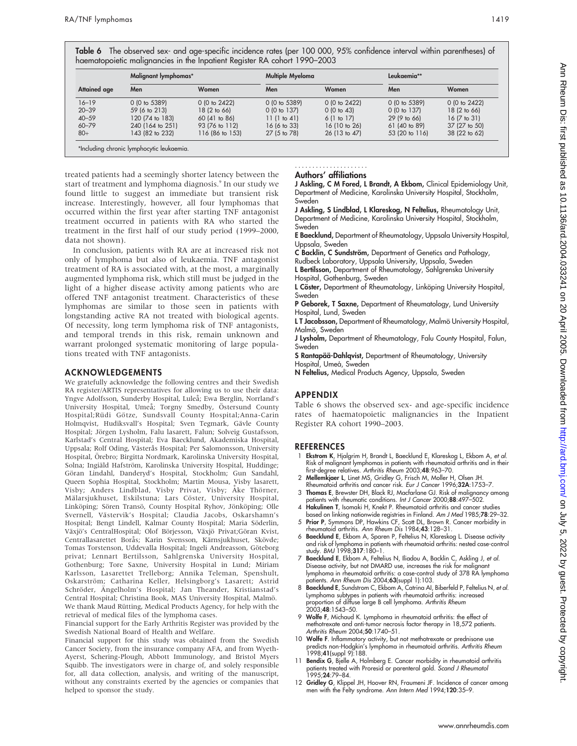Table 6 The observed sex- and age-specific incidence rates (per 100 000, 95% confidence interval within parentheses) of haematopoietic malignancies in the Inpatient Register RA cohort 1990–2003

|              | Malignant lymphomas* |                    | Multiple Myeloma |               | Leukaemia**     |                        |  |
|--------------|----------------------|--------------------|------------------|---------------|-----------------|------------------------|--|
| Attained age | Men                  | Women              | Men              | Women         | Men             | Women                  |  |
| $16 - 19$    | 0 (0 to 5389)        | 0 (0 to 2422)      | 0 (0 to 5389)    | 0 (0 to 2422) | $0(0)$ to 5389) | $0(0)$ to 2422)        |  |
| $20 - 39$    | 59 (6 to 213)        | 18 (2 to 66)       | 0(0 to 137)      | 0(0 to 43)    | 0(0 to 137)     | 18 (2 to 66)           |  |
| $40 - 59$    | 120 (74 to 183)      | $60(41)$ to $86$ ) | 11(1 to 41)      | 6(1 to 17)    | 29 (9 to 66)    | $16(7 \text{ to } 31)$ |  |
| $60 - 79$    | 240 (164 to 251)     | 93 (76 to 112)     | 16 (6 to 33)     | 16 (10 to 26) | 61 (40 to 89)   | 37 (27 to 50)          |  |
| $80+$        | 143 (82 to 232)      | 116 (86 to 153)    | 27 (5 to 78)     | 26 (13 to 47) | 53 (20 to 116)  | 38 (22 to 62)          |  |

treated patients had a seemingly shorter latency between the start of treatment and lymphoma diagnosis.<sup>9</sup> In our study we found little to suggest an immediate but transient risk increase. Interestingly, however, all four lymphomas that occurred within the first year after starting TNF antagonist treatment occurred in patients with RA who started the treatment in the first half of our study period (1999–2000, data not shown).

In conclusion, patients with RA are at increased risk not only of lymphoma but also of leukaemia. TNF antagonist treatment of RA is associated with, at the most, a marginally augmented lymphoma risk, which still must be judged in the light of a higher disease activity among patients who are offered TNF antagonist treatment. Characteristics of these lymphomas are similar to those seen in patients with longstanding active RA not treated with biological agents. Of necessity, long term lymphoma risk of TNF antagonists, and temporal trends in this risk, remain unknown and warrant prolonged systematic monitoring of large populations treated with TNF antagonists.

#### ACKNOWLEDGEMENTS

We gratefully acknowledge the following centres and their Swedish RA register/ARTIS representatives for allowing us to use their data: Yngve Adolfsson, Sunderby Hospital, Luleå; Ewa Berglin, Norrland's University Hospital, Umeå; Torgny Smedby, Östersund County Hospital;Rüdi Götze, Sundsvall County Hospital;Anna-Carin Holmqvist, Hudiksvall's Hospital; Sven Tegmark, Gävle County Hospital; Jörgen Lysholm, Falu lasarett, Falun; Solveig Gustafsson, Karlstad's Central Hospital; Eva Baecklund, Akademiska Hospital, Uppsala; Rolf Oding, Västerås Hospital; Per Salomonsson, University Hospital, Örebro; Birgitta Nordmark, Karolinska University Hospital, Solna; Ingiäld Hafström, Karolinska University Hospital, Huddinge; Göran Lindahl, Danderyd's Hospital, Stockholm; Gun Sandahl, Queen Sophia Hospital, Stockholm; Martin Mousa, Visby lasarett, Visby; Anders Lindblad, Visby Privat, Visby; Åke Thörner, Mälarsjukhuset, Eskilstuna; Lars Cöster, University Hospital, Linköping; Sören Transö, County Hospital Ryhov, Jönköping; Olle Svernell, Västervik's Hospital; Claudia Jacobs, Oskarshamn's Hospital; Bengt Lindell, Kalmar County Hospital; Maria Söderlin, Växjö's CentralHospital; Olof Börjesson, Växjö Privat;Göran Kvist, Centrallasarettet Borås; Karin Svensson, Kärnsjukhuset, Skövde; Tomas Torstenson, Uddevalla Hospital; Ingeli Andreasson, Göteborg privat; Lennart Bertilsson, Sahlgrenska University Hospital, Gothenburg; Tore Saxne, University Hospital in Lund; Miriam Karlsson, Lasarettet Trelleborg; Annika Teleman, Spenshult, Oskarström; Catharina Keller, Helsingborg's Lasarett; Astrid Schröder, Ängelholm's Hospital; Jan Theander, Kristianstad's Central Hospital; Christina Book, MAS University Hospital, Malmö. We thank Maud Rütting, Medical Products Agency, for help with the retrieval of medical files of the lymphoma cases.

Financial support for the Early Arthritis Register was provided by the Swedish National Board of Health and Welfare.

Financial support for this study was obtained from the Swedish Cancer Society, from the insurance company AFA, and from Wyeth-Ayerst, Schering-Plough, Abbott Immunology, and Bristol Myers Squibb. The investigators were in charge of, and solely responsible for, all data collection, analysis, and writing of the manuscript, without any constraints exerted by the agencies or companies that helped to sponsor the study.

#### Authors' affiliations .....................

J Askling, C M Fored, L Brandt, A Ekbom, Clinical Epidemiology Unit, Department of Medicine, Karolinska University Hospital, Stockholm, Sweden

J Askling, S Lindblad, L Klareskog, N Feltelius, Rheumatology Unit, Department of Medicine, Karolinska University Hospital, Stockholm, Sweden

E Baecklund, Department of Rheumatology, Uppsala University Hospital, Uppsala, Sweden

C Backlin, C Sundström, Department of Genetics and Pathology, Rudbeck Laboratory, Uppsala University, Uppsala, Sweden

L Bertilsson, Department of Rheumatology, Sahlgrenska University Hospital, Gothenburg, Sweden

L Cöster, Department of Rheumatology, Linköping University Hospital, Sweden

P Geborek, T Saxne, Department of Rheumatology, Lund University Hospital, Lund, Sweden

L T Jacobsson, Department of Rheumatology, Malmö University Hospital, Malmö, Sweden

J Lysholm, Department of Rheumatology, Falu County Hospital, Falun, Sweden

S Rantapää-Dahlqvist, Department of Rheumatology, University Hospital, Umeå, Sweden

N Feltelius, Medical Products Agency, Uppsala, Sweden

#### APPENDIX

Table 6 shows the observed sex- and age-specific incidence rates of haematopoietic malignancies in the Inpatient Register RA cohort 1990–2003.

#### REFERENCES

- Ekstrom K, Hjalgrim H, Brandt L, Baecklund E, Klareskog L, Ekbom A, et al. Risk of malignant lymphomas in patients with rheumatoid arthritis and in their first-degree relatives. Arthritis Rheum 2003;48:963–70.
- 2 Mellemkjaer L, Linet MS, Gridley G, Frisch M, Moller H, Olsen JH. Rheumatoid arthritis and cancer risk. Eur J Cancer 1996;32A:1753–7.
- 3 Thomas E, Brewster DH, Black RJ, Macfarlane GJ. Risk of malignancy among
- patients with rheumatic conditions. *Int J Cancer* 2000;**88**:497–502.<br>4 **Hakulinen T**, Isomaki H, Knekt P. Rheumatoid arthritis and cancer studies based on linking nationwide registries in Finland. Am J Med 1985;78:29–32.
- 5 Prior P, Symmons DP, Hawkins CF, Scott DL, Brown R. Cancer morbidity in rheumatoid arthritis. Ann Rheum Dis 1984;43:128–31.
- 6 Baecklund E, Ekbom A, Sparen P, Feltelius N, Klareskog L. Disease activity and risk of lymphoma in patients with rheumatoid arthritis: nested case-control study. BMJ 1998;317:180–1.
- 7 Baecklund E, Ekbom A, Feltelius N, Iliadou A, Backlin C, Askling J, et al. Disease activity, but not DMARD use, increases the risk for malignant lymphoma in rheumatoid arthritis: a case-control study of 378 RA lymphoma patients. Ann Rheum Dis 2004;63(suppl 1):103.
- 8 Baecklund E, Sundstrom C, Ekbom A, Catrina AI, Biberfeld P, Feltelius N, et al. Lymphoma subtypes in patients with rheumatoid arthritis: increased<br>proportion of diffuse large B cell lymphoma. *Arthritis Rheum*<br>2003;**48**:1543–50.
- 9 Wolfe F, Michaud K. Lymphoma in rheumatoid arthritis: the effect of methotrexate and anti-tumor necrosis factor therapy in 18,572 patients. Arthritis Rheum 2004;50:1740–51.
- 10 Wolfe F. Inflammatory activity, but not methotrexate or prednisone use predicts non-Hodgkin's lymphoma in rheumatoid arthritis. Arthritis Rheum 1998;41(suppl 9):188.
- 11 Bendix G, Bjelle A, Holmberg E. Cancer morbidity in rheumatoid arthritis patients treated with Proresid or parenteral gold. *Scand J Rheumatol*<br>1995;**24**:79–84.
- 12 Gridley G, Klippel JH, Hoover RN, Fraumeni JF. Incidence of cancer among men with the Felty syndrome. Ann Intern Med 1994;120:35–9.